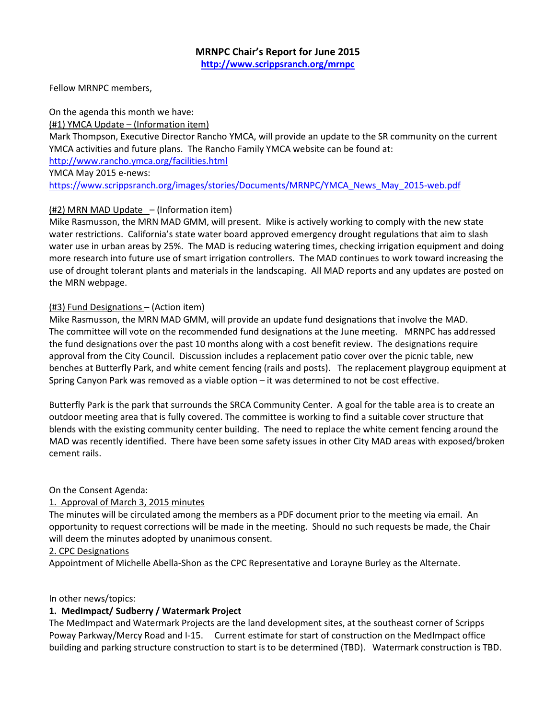Fellow MRNPC members,

On the agenda this month we have: (#1) YMCA Update – (Information item) Mark Thompson, Executive Director Rancho YMCA, will provide an update to the SR community on the current YMCA activities and future plans. The Rancho Family YMCA website can be found at: http://www.rancho.ymca.org/facilities.html YMCA May 2015 e-news: https://www.scrippsranch.org/images/stories/Documents/MRNPC/YMCA\_News\_May\_2015-web.pdf

# (#2) MRN MAD Update – (Information item)

Mike Rasmusson, the MRN MAD GMM, will present. Mike is actively working to comply with the new state water restrictions. California's state water board approved emergency drought regulations that aim to slash water use in urban areas by 25%. The MAD is reducing watering times, checking irrigation equipment and doing more research into future use of smart irrigation controllers. The MAD continues to work toward increasing the use of drought tolerant plants and materials in the landscaping. All MAD reports and any updates are posted on the MRN webpage.

# (#3) Fund Designations – (Action item)

Mike Rasmusson, the MRN MAD GMM, will provide an update fund designations that involve the MAD. The committee will vote on the recommended fund designations at the June meeting. MRNPC has addressed the fund designations over the past 10 months along with a cost benefit review. The designations require approval from the City Council. Discussion includes a replacement patio cover over the picnic table, new benches at Butterfly Park, and white cement fencing (rails and posts). The replacement playgroup equipment at Spring Canyon Park was removed as a viable option – it was determined to not be cost effective.

Butterfly Park is the park that surrounds the SRCA Community Center. A goal for the table area is to create an outdoor meeting area that is fully covered. The committee is working to find a suitable cover structure that blends with the existing community center building. The need to replace the white cement fencing around the MAD was recently identified. There have been some safety issues in other City MAD areas with exposed/broken cement rails.

## On the Consent Agenda:

# 1. Approval of March 3, 2015 minutes

The minutes will be circulated among the members as a PDF document prior to the meeting via email. An opportunity to request corrections will be made in the meeting. Should no such requests be made, the Chair will deem the minutes adopted by unanimous consent.

## 2. CPC Designations

Appointment of Michelle Abella-Shon as the CPC Representative and Lorayne Burley as the Alternate.

## In other news/topics:

# 1. MedImpact/ Sudberry / Watermark Project

The MedImpact and Watermark Projects are the land development sites, at the southeast corner of Scripps Poway Parkway/Mercy Road and I-15. Current estimate for start of construction on the MedImpact office building and parking structure construction to start is to be determined (TBD). Watermark construction is TBD.